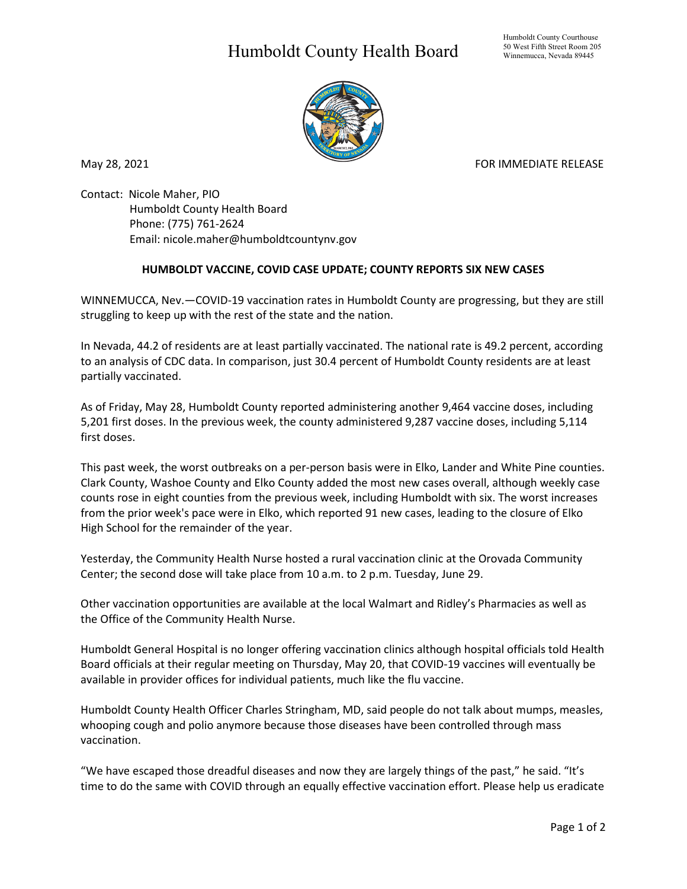## Humboldt County Health Board



May 28, 2021 **FOR IMMEDIATE RELEASE** 

Contact: Nicole Maher, PIO Humboldt County Health Board Phone: (775) 761-2624 Email: nicole.maher@humboldtcountynv.gov

## **HUMBOLDT VACCINE, COVID CASE UPDATE; COUNTY REPORTS SIX NEW CASES**

WINNEMUCCA, Nev.—COVID-19 vaccination rates in Humboldt County are progressing, but they are still struggling to keep up with the rest of the state and the nation.

In Nevada, 44.2 of residents are at least partially vaccinated. The national rate is 49.2 percent, according to an analysis of CDC data. In comparison, just 30.4 percent of Humboldt County residents are at least partially vaccinated.

As of Friday, May 28, Humboldt County reported administering another 9,464 vaccine doses, including 5,201 first doses. In the previous week, the county administered 9,287 vaccine doses, including 5,114 first doses.

This past week, the worst outbreaks on a per-person basis were in Elko, Lander and White Pine counties. Clark County, Washoe County and Elko County added the most new cases overall, although weekly case counts rose in eight counties from the previous week, including Humboldt with six. The worst increases from the prior week's pace were in Elko, which reported 91 new cases, leading to the closure of Elko High School for the remainder of the year.

Yesterday, the Community Health Nurse hosted a rural vaccination clinic at the Orovada Community Center; the second dose will take place from 10 a.m. to 2 p.m. Tuesday, June 29.

Other vaccination opportunities are available at the local Walmart and Ridley's Pharmacies as well as the Office of the Community Health Nurse.

Humboldt General Hospital is no longer offering vaccination clinics although hospital officials told Health Board officials at their regular meeting on Thursday, May 20, that COVID-19 vaccines will eventually be available in provider offices for individual patients, much like the flu vaccine.

Humboldt County Health Officer Charles Stringham, MD, said people do not talk about mumps, measles, whooping cough and polio anymore because those diseases have been controlled through mass vaccination.

"We have escaped those dreadful diseases and now they are largely things of the past," he said. "It's time to do the same with COVID through an equally effective vaccination effort. Please help us eradicate